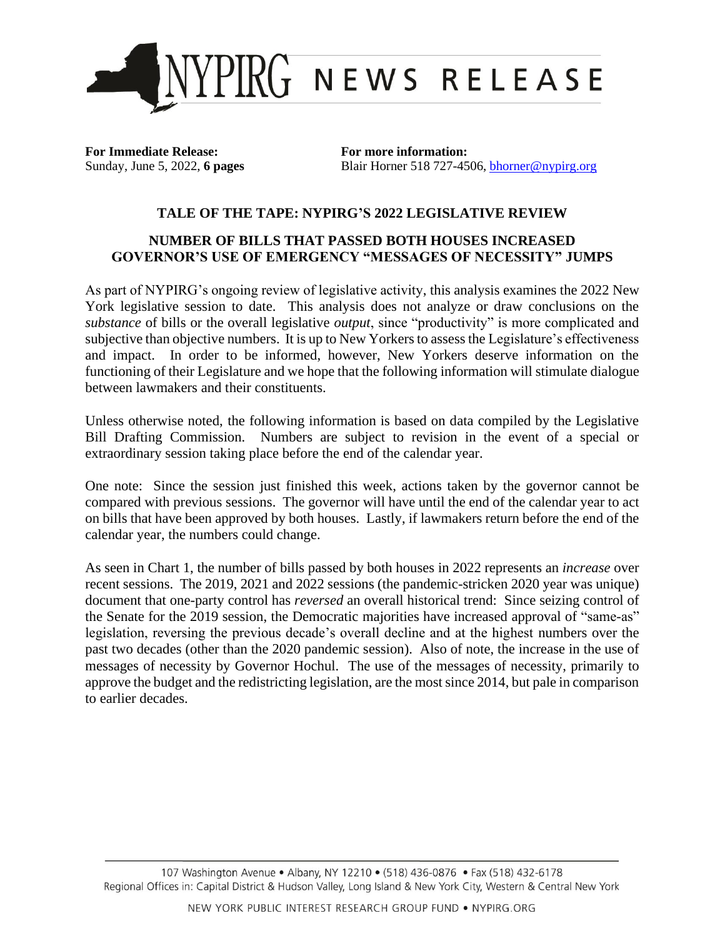

**For Immediate Release: For more information:**

Sunday, June 5, 2022, **6 pages** Blair Horner 518 727-4506, [bhorner@nypirg.org](mailto:bhorner@nypirg.org)

## **TALE OF THE TAPE: NYPIRG'S 2022 LEGISLATIVE REVIEW**

## **NUMBER OF BILLS THAT PASSED BOTH HOUSES INCREASED GOVERNOR'S USE OF EMERGENCY "MESSAGES OF NECESSITY" JUMPS**

As part of NYPIRG's ongoing review of legislative activity, this analysis examines the 2022 New York legislative session to date. This analysis does not analyze or draw conclusions on the *substance* of bills or the overall legislative *output*, since "productivity" is more complicated and subjective than objective numbers. It is up to New Yorkers to assess the Legislature's effectiveness and impact. In order to be informed, however, New Yorkers deserve information on the functioning of their Legislature and we hope that the following information will stimulate dialogue between lawmakers and their constituents.

Unless otherwise noted, the following information is based on data compiled by the Legislative Bill Drafting Commission. Numbers are subject to revision in the event of a special or extraordinary session taking place before the end of the calendar year.

One note: Since the session just finished this week, actions taken by the governor cannot be compared with previous sessions. The governor will have until the end of the calendar year to act on bills that have been approved by both houses. Lastly, if lawmakers return before the end of the calendar year, the numbers could change.

As seen in Chart 1, the number of bills passed by both houses in 2022 represents an *increase* over recent sessions. The 2019, 2021 and 2022 sessions (the pandemic-stricken 2020 year was unique) document that one-party control has *reversed* an overall historical trend: Since seizing control of the Senate for the 2019 session, the Democratic majorities have increased approval of "same-as" legislation, reversing the previous decade's overall decline and at the highest numbers over the past two decades (other than the 2020 pandemic session). Also of note, the increase in the use of messages of necessity by Governor Hochul. The use of the messages of necessity, primarily to approve the budget and the redistricting legislation, are the most since 2014, but pale in comparison to earlier decades.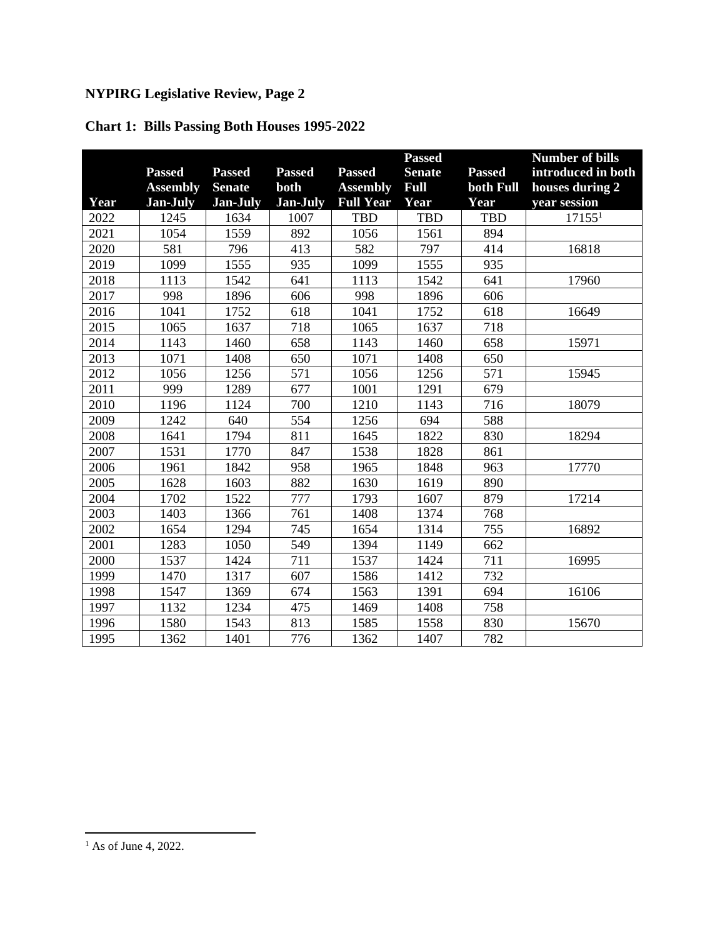|  | <b>Chart 1: Bills Passing Both Houses 1995-2022</b> |  |  |
|--|-----------------------------------------------------|--|--|
|--|-----------------------------------------------------|--|--|

|      |                 |                 |                  |                  | <b>Passed</b> |               | <b>Number of bills</b> |
|------|-----------------|-----------------|------------------|------------------|---------------|---------------|------------------------|
|      | <b>Passed</b>   | <b>Passed</b>   | <b>Passed</b>    | <b>Passed</b>    | <b>Senate</b> | <b>Passed</b> | introduced in both     |
|      | <b>Assembly</b> | <b>Senate</b>   | both             | <b>Assembly</b>  | Full          | both Full     | houses during 2        |
| Year | <b>Jan-July</b> | <b>Jan-July</b> | Jan-July         | <b>Full Year</b> | Year          | Year          | year session           |
| 2022 | 1245            | 1634            | 1007             | <b>TBD</b>       | <b>TBD</b>    | <b>TBD</b>    | 17155 <sup>1</sup>     |
| 2021 | 1054            | 1559            | 892              | 1056             | 1561          | 894           |                        |
| 2020 | 581             | 796             | 413              | 582              | 797           | 414           | 16818                  |
| 2019 | 1099            | 1555            | 935              | 1099             | 1555          | 935           |                        |
| 2018 | 1113            | 1542            | 641              | 1113             | 1542          | 641           | 17960                  |
| 2017 | 998             | 1896            | 606              | 998              | 1896          | 606           |                        |
| 2016 | 1041            | 1752            | $\overline{618}$ | 1041             | 1752          | 618           | 16649                  |
| 2015 | 1065            | 1637            | 718              | 1065             | 1637          | 718           |                        |
| 2014 | 1143            | 1460            | 658              | 1143             | 1460          | 658           | 15971                  |
| 2013 | 1071            | 1408            | 650              | 1071             | 1408          | 650           |                        |
| 2012 | 1056            | 1256            | 571              | 1056             | 1256          | 571           | 15945                  |
| 2011 | 999             | 1289            | 677              | 1001             | 1291          | 679           |                        |
| 2010 | 1196            | 1124            | 700              | 1210             | 1143          | 716           | 18079                  |
| 2009 | 1242            | 640             | 554              | 1256             | 694           | 588           |                        |
| 2008 | 1641            | 1794            | 811              | 1645             | 1822          | 830           | 18294                  |
| 2007 | 1531            | 1770            | 847              | 1538             | 1828          | 861           |                        |
| 2006 | 1961            | 1842            | 958              | 1965             | 1848          | 963           | 17770                  |
| 2005 | 1628            | 1603            | 882              | 1630             | 1619          | 890           |                        |
| 2004 | 1702            | 1522            | 777              | 1793             | 1607          | 879           | 17214                  |
| 2003 | 1403            | 1366            | 761              | 1408             | 1374          | 768           |                        |
| 2002 | 1654            | 1294            | 745              | 1654             | 1314          | 755           | 16892                  |
| 2001 | 1283            | 1050            | 549              | 1394             | 1149          | 662           |                        |
| 2000 | 1537            | 1424            | 711              | 1537             | 1424          | 711           | 16995                  |
| 1999 | 1470            | 1317            | 607              | 1586             | 1412          | 732           |                        |
| 1998 | 1547            | 1369            | 674              | 1563             | 1391          | 694           | 16106                  |
| 1997 | 1132            | 1234            | 475              | 1469             | 1408          | 758           |                        |
| 1996 | 1580            | 1543            | 813              | 1585             | 1558          | 830           | 15670                  |
| 1995 | 1362            | 1401            | 776              | 1362             | 1407          | 782           |                        |

 $<sup>1</sup>$  As of June 4, 2022.</sup>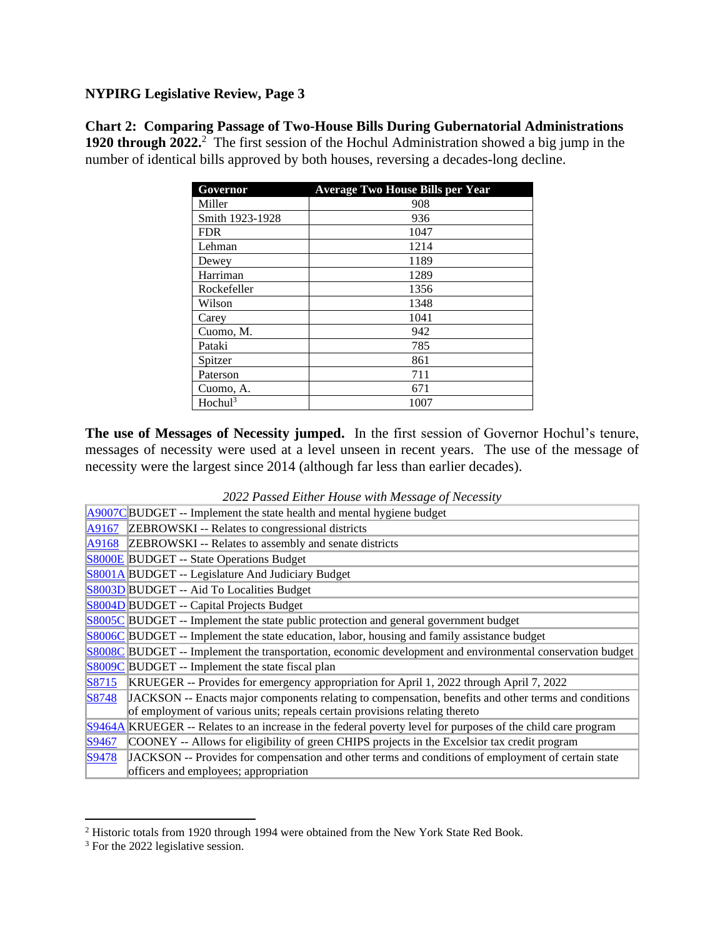**Chart 2: Comparing Passage of Two-House Bills During Gubernatorial Administrations** 1920 through 2022.<sup>2</sup> The first session of the Hochul Administration showed a big jump in the number of identical bills approved by both houses, reversing a decades-long decline.

| Governor            | <b>Average Two House Bills per Year</b> |
|---------------------|-----------------------------------------|
| Miller              | 908                                     |
| Smith 1923-1928     | 936                                     |
| <b>FDR</b>          | 1047                                    |
| Lehman              | 1214                                    |
| Dewey               | 1189                                    |
| Harriman            | 1289                                    |
| Rockefeller         | 1356                                    |
| Wilson              | 1348                                    |
| Carey               | 1041                                    |
| Cuomo, M.           | 942                                     |
| Pataki              | 785                                     |
| Spitzer             | 861                                     |
| Paterson            | 711                                     |
| Cuomo, A.           | 671                                     |
| Hochul <sup>3</sup> | 1007                                    |

**The use of Messages of Necessity jumped.** In the first session of Governor Hochul's tenure, messages of necessity were used at a level unseen in recent years. The use of the message of necessity were the largest since 2014 (although far less than earlier decades).

|  |  |  |  |  |  | 2022 Passed Either House with Message of Necessity |  |
|--|--|--|--|--|--|----------------------------------------------------|--|
|--|--|--|--|--|--|----------------------------------------------------|--|

|              | A9007CBUDGET -- Implement the state health and mental hygiene budget                                         |
|--------------|--------------------------------------------------------------------------------------------------------------|
|              | A9167 ZEBROWSKI -- Relates to congressional districts                                                        |
|              | A9168 ZEBROWSKI -- Relates to assembly and senate districts                                                  |
|              | <b>S8000E BUDGET</b> -- State Operations Budget                                                              |
|              | S8001A BUDGET -- Legislature And Judiciary Budget                                                            |
|              | S8003D BUDGET -- Aid To Localities Budget                                                                    |
|              | <b>S8004D</b> BUDGET -- Capital Projects Budget                                                              |
|              | <b>S8005C</b> BUDGET -- Implement the state public protection and general government budget                  |
|              | S8006C BUDGET -- Implement the state education, labor, housing and family assistance budget                  |
|              | S8008C BUDGET -- Implement the transportation, economic development and environmental conservation budget    |
|              | $S8009C$ BUDGET -- Implement the state fiscal plan                                                           |
| S8715        | KRUEGER -- Provides for emergency appropriation for April 1, 2022 through April 7, 2022                      |
| <b>S8748</b> | JACKSON -- Enacts major components relating to compensation, benefits and other terms and conditions         |
|              | of employment of various units; repeals certain provisions relating thereto                                  |
|              | S9464A KRUEGER -- Relates to an increase in the federal poverty level for purposes of the child care program |
| S9467        | COONEY -- Allows for eligibility of green CHIPS projects in the Excelsior tax credit program                 |
| S9478        | JACKSON -- Provides for compensation and other terms and conditions of employment of certain state           |
|              | officers and employees; appropriation                                                                        |

<sup>2</sup> Historic totals from 1920 through 1994 were obtained from the New York State Red Book.

<sup>&</sup>lt;sup>3</sup> For the 2022 legislative session.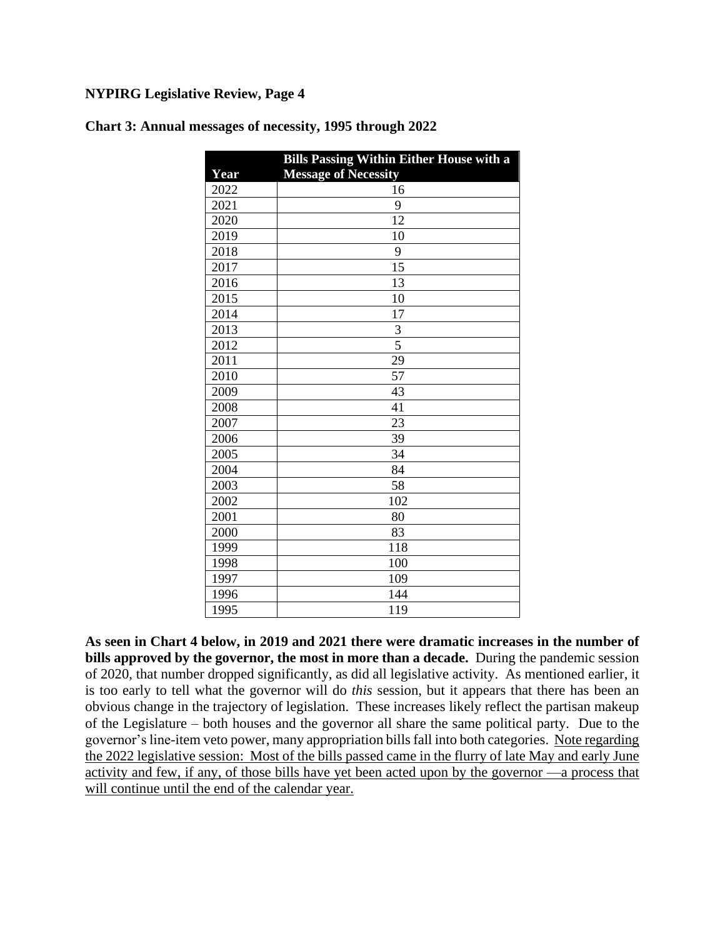|      | <b>Bills Passing Within Either House with a</b> |
|------|-------------------------------------------------|
| Year | <b>Message of Necessity</b>                     |
| 2022 | 16                                              |
| 2021 | 9                                               |
| 2020 | 12                                              |
| 2019 | 10                                              |
| 2018 | 9                                               |
| 2017 | 15                                              |
| 2016 | 13                                              |
| 2015 | 10                                              |
| 2014 | 17                                              |
| 2013 | 3                                               |
| 2012 | 5                                               |
| 2011 | 29                                              |
| 2010 | 57                                              |
| 2009 | 43                                              |
| 2008 | $\overline{41}$                                 |
| 2007 | 23                                              |
| 2006 | 39                                              |
| 2005 | 34                                              |
| 2004 | 84                                              |
| 2003 | 58                                              |
| 2002 | 102                                             |
| 2001 | 80                                              |
| 2000 | 83                                              |
| 1999 | 118                                             |
| 1998 | 100                                             |
| 1997 | 109                                             |
| 1996 | 144                                             |
| 1995 | 119                                             |

**Chart 3: Annual messages of necessity, 1995 through 2022**

**As seen in Chart 4 below, in 2019 and 2021 there were dramatic increases in the number of bills approved by the governor, the most in more than a decade.** During the pandemic session of 2020, that number dropped significantly, as did all legislative activity. As mentioned earlier, it is too early to tell what the governor will do *this* session, but it appears that there has been an obvious change in the trajectory of legislation. These increases likely reflect the partisan makeup of the Legislature – both houses and the governor all share the same political party. Due to the governor's line-item veto power, many appropriation bills fall into both categories. Note regarding the 2022 legislative session: Most of the bills passed came in the flurry of late May and early June activity and few, if any, of those bills have yet been acted upon by the governor —a process that will continue until the end of the calendar year.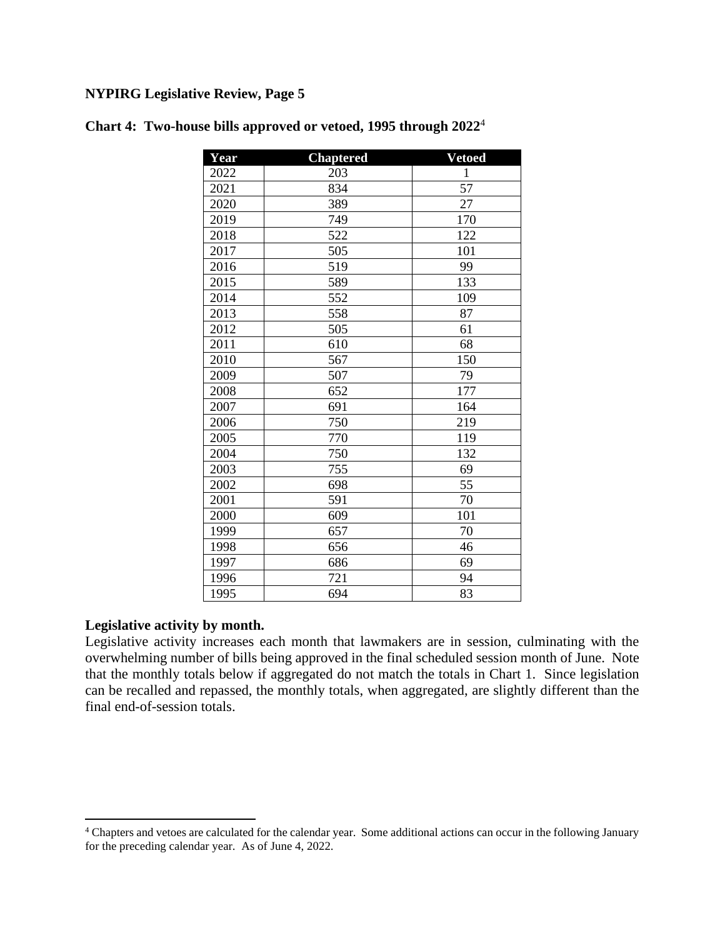| Year | <b>Chaptered</b> | <b>Vetoed</b> |
|------|------------------|---------------|
| 2022 | 203              | $\mathbf 1$   |
| 2021 | 834              | 57            |
| 2020 | 389              | 27            |
| 2019 | 749              | 170           |
| 2018 | 522              | 122           |
| 2017 | 505              | 101           |
| 2016 | 519              | 99            |
| 2015 | 589              | 133           |
| 2014 | 552              | 109           |
| 2013 | 558              | 87            |
| 2012 | 505              | 61            |
| 2011 | 610              | 68            |
| 2010 | 567              | 150           |
| 2009 | 507              | 79            |
| 2008 | 652              | 177           |
| 2007 | 691              | 164           |
| 2006 | 750              | 219           |
| 2005 | 770              | 119           |
| 2004 | 750              | 132           |
| 2003 | 755              | 69            |
| 2002 | 698              | 55            |
| 2001 | 591              | 70            |
| 2000 | 609              | 101           |
| 1999 | 657              | 70            |
| 1998 | 656              | 46            |
| 1997 | 686              | 69            |
| 1996 | 721              | 94            |
| 1995 | 694              | 83            |

## **Chart 4: Two-house bills approved or vetoed, 1995 through 2022** 4

### **Legislative activity by month.**

Legislative activity increases each month that lawmakers are in session, culminating with the overwhelming number of bills being approved in the final scheduled session month of June. Note that the monthly totals below if aggregated do not match the totals in Chart 1. Since legislation can be recalled and repassed, the monthly totals, when aggregated, are slightly different than the final end-of-session totals.

<sup>&</sup>lt;sup>4</sup> Chapters and vetoes are calculated for the calendar year. Some additional actions can occur in the following January for the preceding calendar year. As of June 4, 2022.